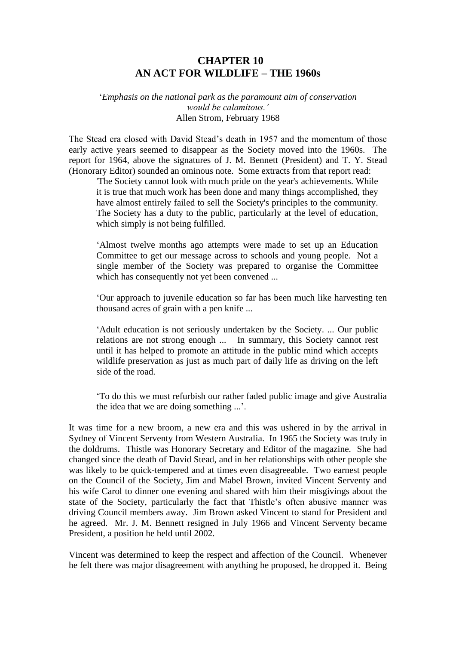# **CHAPTER 10 AN ACT FOR WILDLIFE – THE 1960s**

#### '*Emphasis on the national park as the paramount aim of conservation would be calamitous.'* Allen Strom, February 1968

The Stead era closed with David Stead's death in 1957 and the momentum of those early active years seemed to disappear as the Society moved into the 1960s. The report for 1964, above the signatures of J. M. Bennett (President) and T. Y. Stead (Honorary Editor) sounded an ominous note. Some extracts from that report read:

'The Society cannot look with much pride on the year's achievements. While it is true that much work has been done and many things accomplished, they have almost entirely failed to sell the Society's principles to the community. The Society has a duty to the public, particularly at the level of education, which simply is not being fulfilled.

'Almost twelve months ago attempts were made to set up an Education Committee to get our message across to schools and young people. Not a single member of the Society was prepared to organise the Committee which has consequently not yet been convened ...

'Our approach to juvenile education so far has been much like harvesting ten thousand acres of grain with a pen knife ...

'Adult education is not seriously undertaken by the Society. ... Our public relations are not strong enough ... In summary, this Society cannot rest until it has helped to promote an attitude in the public mind which accepts wildlife preservation as just as much part of daily life as driving on the left side of the road.

'To do this we must refurbish our rather faded public image and give Australia the idea that we are doing something ...'.

It was time for a new broom, a new era and this was ushered in by the arrival in Sydney of Vincent Serventy from Western Australia. In 1965 the Society was truly in the doldrums. Thistle was Honorary Secretary and Editor of the magazine. She had changed since the death of David Stead, and in her relationships with other people she was likely to be quick-tempered and at times even disagreeable. Two earnest people on the Council of the Society, Jim and Mabel Brown, invited Vincent Serventy and his wife Carol to dinner one evening and shared with him their misgivings about the state of the Society, particularly the fact that Thistle's often abusive manner was driving Council members away. Jim Brown asked Vincent to stand for President and he agreed. Mr. J. M. Bennett resigned in July 1966 and Vincent Serventy became President, a position he held until 2002.

Vincent was determined to keep the respect and affection of the Council. Whenever he felt there was major disagreement with anything he proposed, he dropped it. Being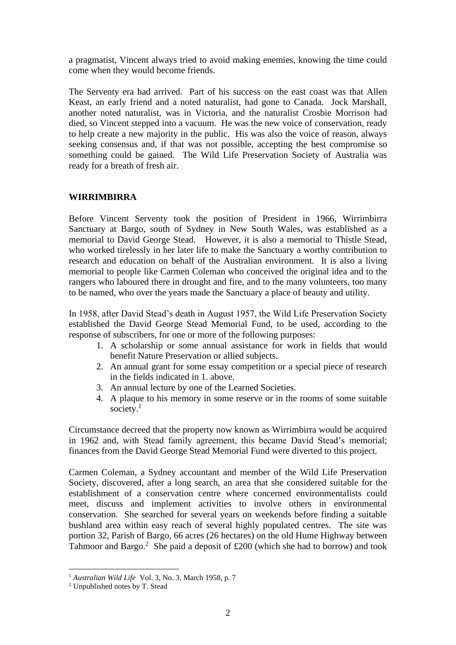a pragmatist, Vincent always tried to avoid making enemies, knowing the time could come when they would become friends.

The Serventy era had arrived. Part of his success on the east coast was that Allen Keast, an early friend and a noted naturalist, had gone to Canada. Jock Marshall, another noted naturalist, was in Victoria, and the naturalist Crosbie Morrison had died, so Vincent stepped into a vacuum. He was the new voice of conservation, ready to help create a new majority in the public. His was also the voice of reason, always seeking consensus and, if that was not possible, accepting the best compromise so something could be gained. The Wild Life Preservation Society of Australia was ready for a breath of fresh air.

## **WIRRIMBIRRA**

Before Vincent Serventy took the position of President in 1966, Wirrimbirra Sanctuary at Bargo, south of Sydney in New South Wales, was established as a memorial to David George Stead. However, it is also a memorial to Thistle Stead, who worked tirelessly in her later life to make the Sanctuary a worthy contribution to research and education on behalf of the Australian environment. It is also a living memorial to people like Carmen Coleman who conceived the original idea and to the rangers who laboured there in drought and fire, and to the many volunteers, too many to be named, who over the years made the Sanctuary a place of beauty and utility.

In 1958, after David Stead's death in August 1957, the Wild Life Preservation Society established the David George Stead Memorial Fund, to be used, according to the response of subscribers, for one or more of the following purposes:

- 1. A scholarship or some annual assistance for work in fields that would benefit Nature Preservation or allied subjects.
- 2. An annual grant for some essay competition or a special piece of research in the fields indicated in 1. above.
- 3. An annual lecture by one of the Learned Societies.
- 4. A plaque to his memory in some reserve or in the rooms of some suitable society.<sup>1</sup>

Circumstance decreed that the property now known as Wirrimbirra would be acquired in 1962 and, with Stead family agreement, this became David Stead's memorial; finances from the David George Stead Memorial Fund were diverted to this project.

Carmen Coleman, a Sydney accountant and member of the Wild Life Preservation Society, discovered, after a long search, an area that she considered suitable for the establishment of a conservation centre where concerned environmentalists could meet, discuss and implement activities to involve others in environmental conservation. She searched for several years on weekends before finding a suitable bushland area within easy reach of several highly populated centres. The site was portion 32, Parish of Bargo, 66 acres (26 hectares) on the old Hume Highway between Tahmoor and Bargo.<sup>2</sup> She paid a deposit of  $£200$  (which she had to borrow) and took

<sup>1</sup> *Australian Wild Life* Vol. 3, No. 3, March 1958, p. 7

<sup>2</sup> Unpublished notes by T. Stead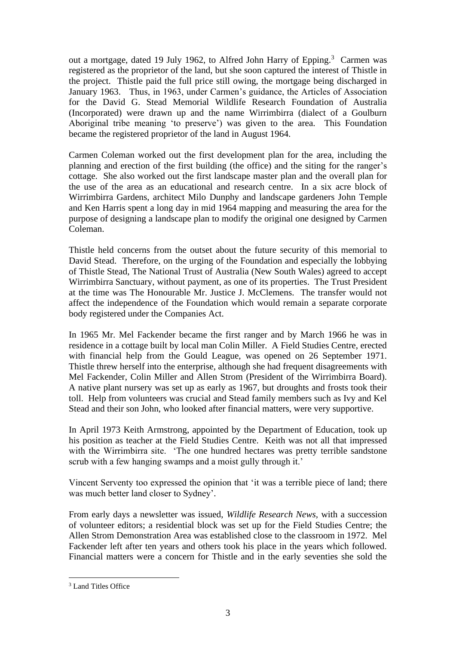out a mortgage, dated 19 July 1962, to Alfred John Harry of Epping.<sup>3</sup> Carmen was registered as the proprietor of the land, but she soon captured the interest of Thistle in the project. Thistle paid the full price still owing, the mortgage being discharged in January 1963. Thus, in 1963, under Carmen's guidance, the Articles of Association for the David G. Stead Memorial Wildlife Research Foundation of Australia (Incorporated) were drawn up and the name Wirrimbirra (dialect of a Goulburn Aboriginal tribe meaning 'to preserve') was given to the area. This Foundation became the registered proprietor of the land in August 1964.

Carmen Coleman worked out the first development plan for the area, including the planning and erection of the first building (the office) and the siting for the ranger's cottage. She also worked out the first landscape master plan and the overall plan for the use of the area as an educational and research centre. In a six acre block of Wirrimbirra Gardens, architect Milo Dunphy and landscape gardeners John Temple and Ken Harris spent a long day in mid 1964 mapping and measuring the area for the purpose of designing a landscape plan to modify the original one designed by Carmen Coleman.

Thistle held concerns from the outset about the future security of this memorial to David Stead. Therefore, on the urging of the Foundation and especially the lobbying of Thistle Stead, The National Trust of Australia (New South Wales) agreed to accept Wirrimbirra Sanctuary, without payment, as one of its properties. The Trust President at the time was The Honourable Mr. Justice J. McClemens. The transfer would not affect the independence of the Foundation which would remain a separate corporate body registered under the Companies Act.

In 1965 Mr. Mel Fackender became the first ranger and by March 1966 he was in residence in a cottage built by local man Colin Miller. A Field Studies Centre, erected with financial help from the Gould League, was opened on 26 September 1971. Thistle threw herself into the enterprise, although she had frequent disagreements with Mel Fackender, Colin Miller and Allen Strom (President of the Wirrimbirra Board). A native plant nursery was set up as early as 1967, but droughts and frosts took their toll. Help from volunteers was crucial and Stead family members such as Ivy and Kel Stead and their son John, who looked after financial matters, were very supportive.

In April 1973 Keith Armstrong, appointed by the Department of Education, took up his position as teacher at the Field Studies Centre. Keith was not all that impressed with the Wirrimbirra site. 'The one hundred hectares was pretty terrible sandstone scrub with a few hanging swamps and a moist gully through it.'

Vincent Serventy too expressed the opinion that 'it was a terrible piece of land; there was much better land closer to Sydney'.

From early days a newsletter was issued, *Wildlife Research News,* with a succession of volunteer editors; a residential block was set up for the Field Studies Centre; the Allen Strom Demonstration Area was established close to the classroom in 1972. Mel Fackender left after ten years and others took his place in the years which followed. Financial matters were a concern for Thistle and in the early seventies she sold the

<sup>&</sup>lt;sup>3</sup> Land Titles Office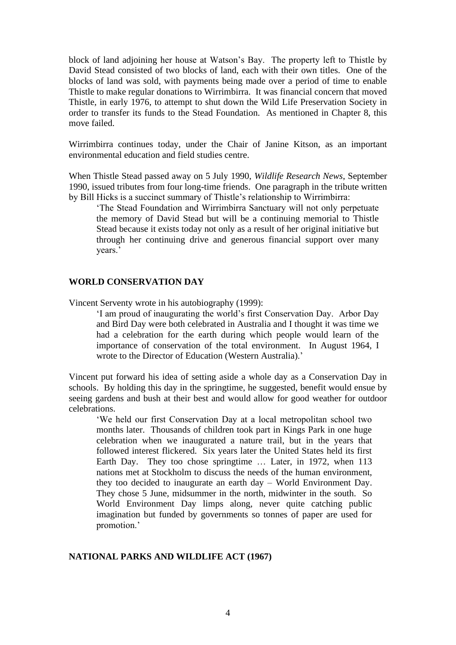block of land adjoining her house at Watson's Bay. The property left to Thistle by David Stead consisted of two blocks of land, each with their own titles. One of the blocks of land was sold, with payments being made over a period of time to enable Thistle to make regular donations to Wirrimbirra. It was financial concern that moved Thistle, in early 1976, to attempt to shut down the Wild Life Preservation Society in order to transfer its funds to the Stead Foundation. As mentioned in Chapter 8, this move failed.

Wirrimbirra continues today, under the Chair of Janine Kitson, as an important environmental education and field studies centre.

When Thistle Stead passed away on 5 July 1990, *Wildlife Research News*, September 1990, issued tributes from four long-time friends. One paragraph in the tribute written by Bill Hicks is a succinct summary of Thistle's relationship to Wirrimbirra:

'The Stead Foundation and Wirrimbirra Sanctuary will not only perpetuate the memory of David Stead but will be a continuing memorial to Thistle Stead because it exists today not only as a result of her original initiative but through her continuing drive and generous financial support over many years.'

#### **WORLD CONSERVATION DAY**

Vincent Serventy wrote in his autobiography (1999):

'I am proud of inaugurating the world's first Conservation Day. Arbor Day and Bird Day were both celebrated in Australia and I thought it was time we had a celebration for the earth during which people would learn of the importance of conservation of the total environment. In August 1964, I wrote to the Director of Education (Western Australia).'

Vincent put forward his idea of setting aside a whole day as a Conservation Day in schools. By holding this day in the springtime, he suggested, benefit would ensue by seeing gardens and bush at their best and would allow for good weather for outdoor celebrations.

'We held our first Conservation Day at a local metropolitan school two months later. Thousands of children took part in Kings Park in one huge celebration when we inaugurated a nature trail, but in the years that followed interest flickered. Six years later the United States held its first Earth Day. They too chose springtime … Later, in 1972, when 113 nations met at Stockholm to discuss the needs of the human environment, they too decided to inaugurate an earth day – World Environment Day. They chose 5 June, midsummer in the north, midwinter in the south. So World Environment Day limps along, never quite catching public imagination but funded by governments so tonnes of paper are used for promotion.'

#### **NATIONAL PARKS AND WILDLIFE ACT (1967)**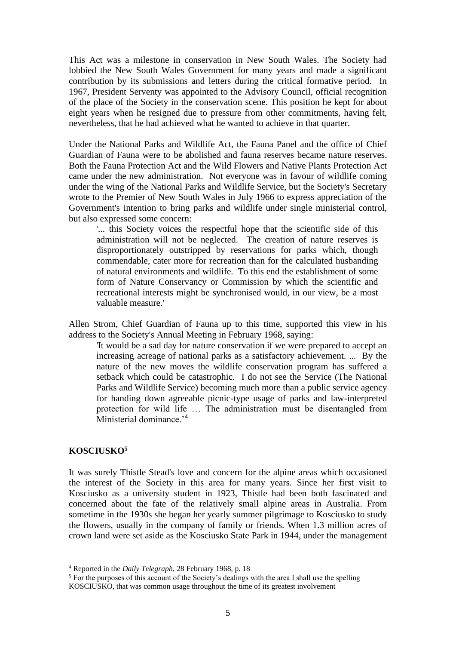This Act was a milestone in conservation in New South Wales. The Society had lobbied the New South Wales Government for many years and made a significant contribution by its submissions and letters during the critical formative period. In 1967, President Serventy was appointed to the Advisory Council, official recognition of the place of the Society in the conservation scene. This position he kept for about eight years when he resigned due to pressure from other commitments, having felt, nevertheless, that he had achieved what he wanted to achieve in that quarter.

Under the National Parks and Wildlife Act, the Fauna Panel and the office of Chief Guardian of Fauna were to be abolished and fauna reserves became nature reserves. Both the Fauna Protection Act and the Wild Flowers and Native Plants Protection Act came under the new administration. Not everyone was in favour of wildlife coming under the wing of the National Parks and Wildlife Service, but the Society's Secretary wrote to the Premier of New South Wales in July 1966 to express appreciation of the Government's intention to bring parks and wildlife under single ministerial control, but also expressed some concern:

'... this Society voices the respectful hope that the scientific side of this administration will not be neglected. The creation of nature reserves is disproportionately outstripped by reservations for parks which, though commendable, cater more for recreation than for the calculated husbanding of natural environments and wildlife. To this end the establishment of some form of Nature Conservancy or Commission by which the scientific and recreational interests might be synchronised would, in our view, be a most valuable measure.'

Allen Strom, Chief Guardian of Fauna up to this time, supported this view in his address to the Society's Annual Meeting in February 1968, saying:

'It would be a sad day for nature conservation if we were prepared to accept an increasing acreage of national parks as a satisfactory achievement. ... By the nature of the new moves the wildlife conservation program has suffered a setback which could be catastrophic. I do not see the Service (The National Parks and Wildlife Service) becoming much more than a public service agency for handing down agreeable picnic-type usage of parks and law-interpreted protection for wild life … The administration must be disentangled from Ministerial dominance.<sup>'4</sup>

#### **KOSCIUSKO<sup>5</sup>**

It was surely Thistle Stead's love and concern for the alpine areas which occasioned the interest of the Society in this area for many years. Since her first visit to Kosciusko as a university student in 1923, Thistle had been both fascinated and concerned about the fate of the relatively small alpine areas in Australia. From sometime in the 1930s she began her yearly summer pilgrimage to Kosciusko to study the flowers, usually in the company of family or friends. When 1.3 million acres of crown land were set aside as the Kosciusko State Park in 1944, under the management

<sup>4</sup> Reported in the *Daily Telegraph*, 28 February 1968, p. 18

<sup>&</sup>lt;sup>5</sup> For the purposes of this account of the Society's dealings with the area I shall use the spelling KOSCIUSKO, that was common usage throughout the time of its greatest involvement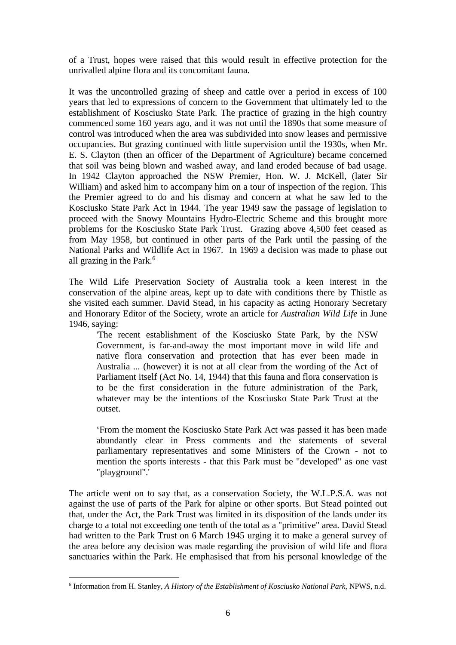of a Trust, hopes were raised that this would result in effective protection for the unrivalled alpine flora and its concomitant fauna.

It was the uncontrolled grazing of sheep and cattle over a period in excess of 100 years that led to expressions of concern to the Government that ultimately led to the establishment of Kosciusko State Park. The practice of grazing in the high country commenced some 160 years ago, and it was not until the 1890s that some measure of control was introduced when the area was subdivided into snow leases and permissive occupancies. But grazing continued with little supervision until the 1930s, when Mr. E. S. Clayton (then an officer of the Department of Agriculture) became concerned that soil was being blown and washed away, and land eroded because of bad usage. In 1942 Clayton approached the NSW Premier, Hon. W. J. McKell, (later Sir William) and asked him to accompany him on a tour of inspection of the region. This the Premier agreed to do and his dismay and concern at what he saw led to the Kosciusko State Park Act in 1944. The year 1949 saw the passage of legislation to proceed with the Snowy Mountains Hydro-Electric Scheme and this brought more problems for the Kosciusko State Park Trust. Grazing above 4,500 feet ceased as from May 1958, but continued in other parts of the Park until the passing of the National Parks and Wildlife Act in 1967. In 1969 a decision was made to phase out all grazing in the Park.<sup>6</sup>

The Wild Life Preservation Society of Australia took a keen interest in the conservation of the alpine areas, kept up to date with conditions there by Thistle as she visited each summer. David Stead, in his capacity as acting Honorary Secretary and Honorary Editor of the Society, wrote an article for *Australian Wild Life* in June 1946, saying:

'The recent establishment of the Kosciusko State Park, by the NSW Government, is far-and-away the most important move in wild life and native flora conservation and protection that has ever been made in Australia ... (however) it is not at all clear from the wording of the Act of Parliament itself (Act No. 14, 1944) that this fauna and flora conservation is to be the first consideration in the future administration of the Park, whatever may be the intentions of the Kosciusko State Park Trust at the outset.

'From the moment the Kosciusko State Park Act was passed it has been made abundantly clear in Press comments and the statements of several parliamentary representatives and some Ministers of the Crown - not to mention the sports interests - that this Park must be "developed" as one vast "playground".'

The article went on to say that, as a conservation Society, the W.L.P.S.A. was not against the use of parts of the Park for alpine or other sports. But Stead pointed out that, under the Act, the Park Trust was limited in its disposition of the lands under its charge to a total not exceeding one tenth of the total as a "primitive" area. David Stead had written to the Park Trust on 6 March 1945 urging it to make a general survey of the area before any decision was made regarding the provision of wild life and flora sanctuaries within the Park. He emphasised that from his personal knowledge of the

<sup>6</sup> Information from H. Stanley, *A History of the Establishment of Kosciusko National Park,* NPWS, n.d.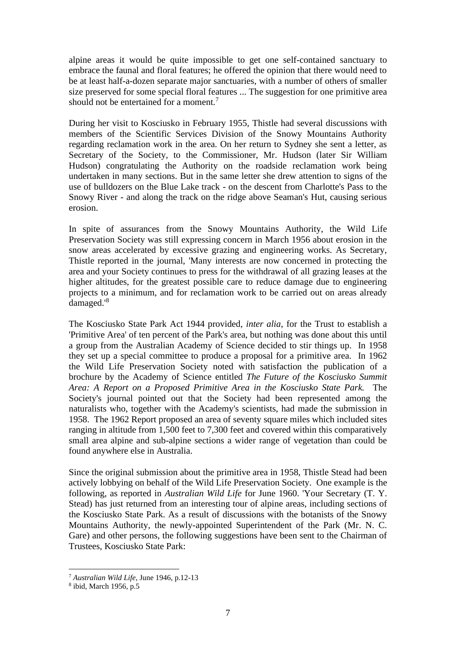alpine areas it would be quite impossible to get one self-contained sanctuary to embrace the faunal and floral features; he offered the opinion that there would need to be at least half-a-dozen separate major sanctuaries, with a number of others of smaller size preserved for some special floral features ... The suggestion for one primitive area should not be entertained for a moment.<sup>7</sup>

During her visit to Kosciusko in February 1955, Thistle had several discussions with members of the Scientific Services Division of the Snowy Mountains Authority regarding reclamation work in the area. On her return to Sydney she sent a letter, as Secretary of the Society, to the Commissioner, Mr. Hudson (later Sir William Hudson) congratulating the Authority on the roadside reclamation work being undertaken in many sections. But in the same letter she drew attention to signs of the use of bulldozers on the Blue Lake track - on the descent from Charlotte's Pass to the Snowy River - and along the track on the ridge above Seaman's Hut, causing serious erosion.

In spite of assurances from the Snowy Mountains Authority, the Wild Life Preservation Society was still expressing concern in March 1956 about erosion in the snow areas accelerated by excessive grazing and engineering works. As Secretary, Thistle reported in the journal, 'Many interests are now concerned in protecting the area and your Society continues to press for the withdrawal of all grazing leases at the higher altitudes, for the greatest possible care to reduce damage due to engineering projects to a minimum, and for reclamation work to be carried out on areas already damaged.'<sup>8</sup>

The Kosciusko State Park Act 1944 provided, *inter alia*, for the Trust to establish a 'Primitive Area' of ten percent of the Park's area, but nothing was done about this until a group from the Australian Academy of Science decided to stir things up. In 1958 they set up a special committee to produce a proposal for a primitive area. In 1962 the Wild Life Preservation Society noted with satisfaction the publication of a brochure by the Academy of Science entitled *The Future of the Kosciusko Summit Area: A Report on a Proposed Primitive Area in the Kosciusko State Park.* The Society's journal pointed out that the Society had been represented among the naturalists who, together with the Academy's scientists, had made the submission in 1958. The 1962 Report proposed an area of seventy square miles which included sites ranging in altitude from 1,500 feet to 7,300 feet and covered within this comparatively small area alpine and sub-alpine sections a wider range of vegetation than could be found anywhere else in Australia.

Since the original submission about the primitive area in 1958, Thistle Stead had been actively lobbying on behalf of the Wild Life Preservation Society. One example is the following, as reported in *Australian Wild Life* for June 1960. 'Your Secretary (T. Y. Stead) has just returned from an interesting tour of alpine areas, including sections of the Kosciusko State Park. As a result of discussions with the botanists of the Snowy Mountains Authority, the newly-appointed Superintendent of the Park (Mr. N. C. Gare) and other persons, the following suggestions have been sent to the Chairman of Trustees, Kosciusko State Park:

<sup>7</sup> *Australian Wild Life*, June 1946, p.12-13

<sup>8</sup> ibid, March 1956, p.5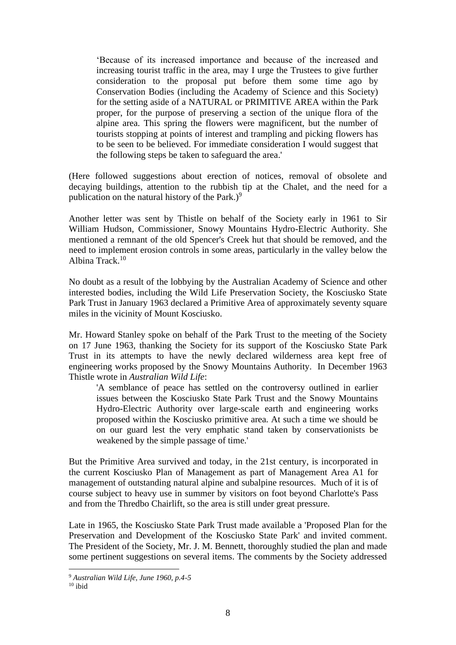'Because of its increased importance and because of the increased and increasing tourist traffic in the area, may I urge the Trustees to give further consideration to the proposal put before them some time ago by Conservation Bodies (including the Academy of Science and this Society) for the setting aside of a NATURAL or PRIMITIVE AREA within the Park proper, for the purpose of preserving a section of the unique flora of the alpine area. This spring the flowers were magnificent, but the number of tourists stopping at points of interest and trampling and picking flowers has to be seen to be believed. For immediate consideration I would suggest that the following steps be taken to safeguard the area.'

(Here followed suggestions about erection of notices, removal of obsolete and decaying buildings, attention to the rubbish tip at the Chalet, and the need for a publication on the natural history of the Park.)<sup>9</sup>

Another letter was sent by Thistle on behalf of the Society early in 1961 to Sir William Hudson, Commissioner, Snowy Mountains Hydro-Electric Authority. She mentioned a remnant of the old Spencer's Creek hut that should be removed, and the need to implement erosion controls in some areas, particularly in the valley below the Albina Track  $10$ 

No doubt as a result of the lobbying by the Australian Academy of Science and other interested bodies, including the Wild Life Preservation Society, the Kosciusko State Park Trust in January 1963 declared a Primitive Area of approximately seventy square miles in the vicinity of Mount Kosciusko.

Mr. Howard Stanley spoke on behalf of the Park Trust to the meeting of the Society on 17 June 1963, thanking the Society for its support of the Kosciusko State Park Trust in its attempts to have the newly declared wilderness area kept free of engineering works proposed by the Snowy Mountains Authority. In December 1963 Thistle wrote in *Australian Wild Life*:

'A semblance of peace has settled on the controversy outlined in earlier issues between the Kosciusko State Park Trust and the Snowy Mountains Hydro-Electric Authority over large-scale earth and engineering works proposed within the Kosciusko primitive area. At such a time we should be on our guard lest the very emphatic stand taken by conservationists be weakened by the simple passage of time.'

But the Primitive Area survived and today, in the 21st century, is incorporated in the current Kosciusko Plan of Management as part of Management Area A1 for management of outstanding natural alpine and subalpine resources. Much of it is of course subject to heavy use in summer by visitors on foot beyond Charlotte's Pass and from the Thredbo Chairlift, so the area is still under great pressure.

Late in 1965, the Kosciusko State Park Trust made available a 'Proposed Plan for the Preservation and Development of the Kosciusko State Park' and invited comment. The President of the Society, Mr. J. M. Bennett, thoroughly studied the plan and made some pertinent suggestions on several items. The comments by the Society addressed

<sup>9</sup> *Australian Wild Life, June 1960, p.4-5*

 $10$  ibid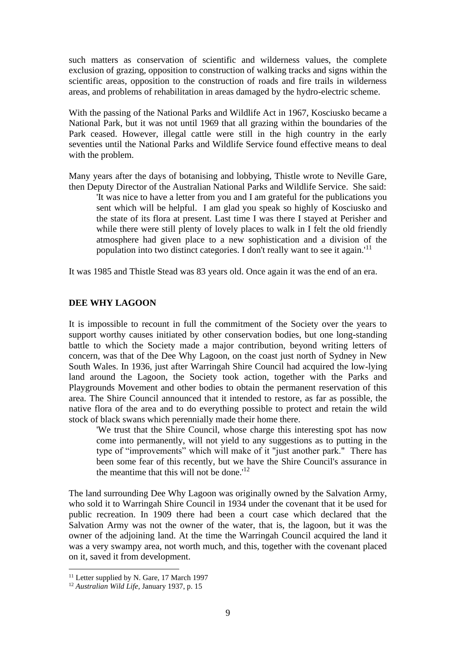such matters as conservation of scientific and wilderness values, the complete exclusion of grazing, opposition to construction of walking tracks and signs within the scientific areas, opposition to the construction of roads and fire trails in wilderness areas, and problems of rehabilitation in areas damaged by the hydro-electric scheme.

With the passing of the National Parks and Wildlife Act in 1967, Kosciusko became a National Park, but it was not until 1969 that all grazing within the boundaries of the Park ceased. However, illegal cattle were still in the high country in the early seventies until the National Parks and Wildlife Service found effective means to deal with the problem.

Many years after the days of botanising and lobbying, Thistle wrote to Neville Gare, then Deputy Director of the Australian National Parks and Wildlife Service. She said:

'It was nice to have a letter from you and I am grateful for the publications you sent which will be helpful. I am glad you speak so highly of Kosciusko and the state of its flora at present. Last time I was there I stayed at Perisher and while there were still plenty of lovely places to walk in I felt the old friendly atmosphere had given place to a new sophistication and a division of the population into two distinct categories. I don't really want to see it again.<sup>'11</sup>

It was 1985 and Thistle Stead was 83 years old. Once again it was the end of an era.

#### **DEE WHY LAGOON**

It is impossible to recount in full the commitment of the Society over the years to support worthy causes initiated by other conservation bodies, but one long-standing battle to which the Society made a major contribution, beyond writing letters of concern, was that of the Dee Why Lagoon, on the coast just north of Sydney in New South Wales. In 1936, just after Warringah Shire Council had acquired the low-lying land around the Lagoon, the Society took action, together with the Parks and Playgrounds Movement and other bodies to obtain the permanent reservation of this area. The Shire Council announced that it intended to restore, as far as possible, the native flora of the area and to do everything possible to protect and retain the wild stock of black swans which perennially made their home there.

'We trust that the Shire Council, whose charge this interesting spot has now come into permanently, will not yield to any suggestions as to putting in the type of "improvements" which will make of it "just another park." There has been some fear of this recently, but we have the Shire Council's assurance in the meantime that this will not be done.<sup> $12$ </sup>

The land surrounding Dee Why Lagoon was originally owned by the Salvation Army, who sold it to Warringah Shire Council in 1934 under the covenant that it be used for public recreation. In 1909 there had been a court case which declared that the Salvation Army was not the owner of the water, that is, the lagoon, but it was the owner of the adjoining land. At the time the Warringah Council acquired the land it was a very swampy area, not worth much, and this, together with the covenant placed on it, saved it from development.

<sup>&</sup>lt;sup>11</sup> Letter supplied by N. Gare, 17 March 1997

<sup>12</sup> *Australian Wild Life*, January 1937, p. 15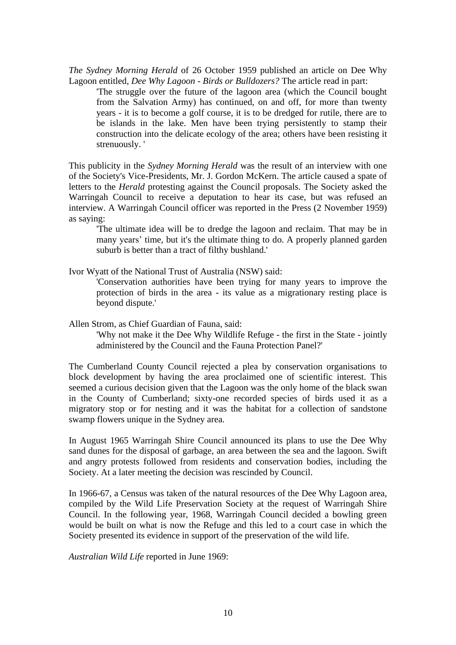*The Sydney Morning Herald* of 26 October 1959 published an article on Dee Why Lagoon entitled, *Dee Why Lagoon - Birds or Bulldozers?* The article read in part:

'The struggle over the future of the lagoon area (which the Council bought from the Salvation Army) has continued, on and off, for more than twenty years - it is to become a golf course, it is to be dredged for rutile, there are to be islands in the lake. Men have been trying persistently to stamp their construction into the delicate ecology of the area; others have been resisting it strenuously. '

This publicity in the *Sydney Morning Herald* was the result of an interview with one of the Society's Vice-Presidents, Mr. J. Gordon McKern. The article caused a spate of letters to the *Herald* protesting against the Council proposals. The Society asked the Warringah Council to receive a deputation to hear its case, but was refused an interview. A Warringah Council officer was reported in the Press (2 November 1959) as saying:

'The ultimate idea will be to dredge the lagoon and reclaim. That may be in many years' time, but it's the ultimate thing to do. A properly planned garden suburb is better than a tract of filthy bushland.'

Ivor Wyatt of the National Trust of Australia (NSW) said:

'Conservation authorities have been trying for many years to improve the protection of birds in the area - its value as a migrationary resting place is beyond dispute.'

Allen Strom, as Chief Guardian of Fauna, said:

'Why not make it the Dee Why Wildlife Refuge - the first in the State - jointly administered by the Council and the Fauna Protection Panel?'

The Cumberland County Council rejected a plea by conservation organisations to block development by having the area proclaimed one of scientific interest. This seemed a curious decision given that the Lagoon was the only home of the black swan in the County of Cumberland; sixty-one recorded species of birds used it as a migratory stop or for nesting and it was the habitat for a collection of sandstone swamp flowers unique in the Sydney area.

In August 1965 Warringah Shire Council announced its plans to use the Dee Why sand dunes for the disposal of garbage, an area between the sea and the lagoon. Swift and angry protests followed from residents and conservation bodies, including the Society. At a later meeting the decision was rescinded by Council.

In 1966-67, a Census was taken of the natural resources of the Dee Why Lagoon area, compiled by the Wild Life Preservation Society at the request of Warringah Shire Council. In the following year, 1968, Warringah Council decided a bowling green would be built on what is now the Refuge and this led to a court case in which the Society presented its evidence in support of the preservation of the wild life.

*Australian Wild Life* reported in June 1969: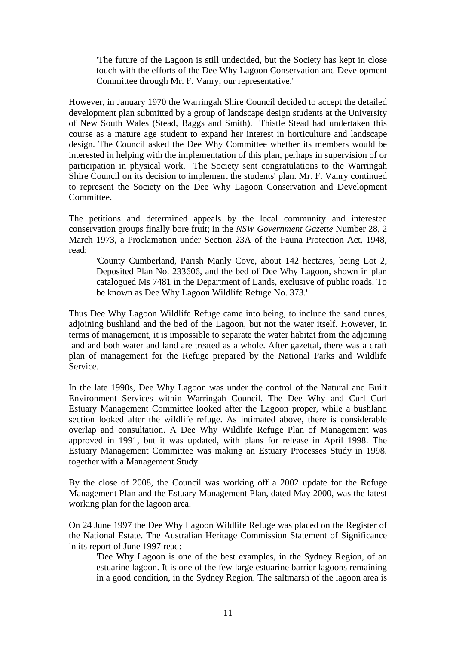'The future of the Lagoon is still undecided, but the Society has kept in close touch with the efforts of the Dee Why Lagoon Conservation and Development Committee through Mr. F. Vanry, our representative.'

However, in January 1970 the Warringah Shire Council decided to accept the detailed development plan submitted by a group of landscape design students at the University of New South Wales (Stead, Baggs and Smith). Thistle Stead had undertaken this course as a mature age student to expand her interest in horticulture and landscape design. The Council asked the Dee Why Committee whether its members would be interested in helping with the implementation of this plan, perhaps in supervision of or participation in physical work. The Society sent congratulations to the Warringah Shire Council on its decision to implement the students' plan. Mr. F. Vanry continued to represent the Society on the Dee Why Lagoon Conservation and Development Committee.

The petitions and determined appeals by the local community and interested conservation groups finally bore fruit; in the *NSW Government Gazette* Number 28, 2 March 1973, a Proclamation under Section 23A of the Fauna Protection Act, 1948, read:

'County Cumberland, Parish Manly Cove, about 142 hectares, being Lot 2, Deposited Plan No. 233606, and the bed of Dee Why Lagoon, shown in plan catalogued Ms 7481 in the Department of Lands, exclusive of public roads. To be known as Dee Why Lagoon Wildlife Refuge No. 373.'

Thus Dee Why Lagoon Wildlife Refuge came into being, to include the sand dunes, adjoining bushland and the bed of the Lagoon, but not the water itself. However, in terms of management, it is impossible to separate the water habitat from the adjoining land and both water and land are treated as a whole. After gazettal, there was a draft plan of management for the Refuge prepared by the National Parks and Wildlife Service.

In the late 1990s, Dee Why Lagoon was under the control of the Natural and Built Environment Services within Warringah Council. The Dee Why and Curl Curl Estuary Management Committee looked after the Lagoon proper, while a bushland section looked after the wildlife refuge. As intimated above, there is considerable overlap and consultation. A Dee Why Wildlife Refuge Plan of Management was approved in 1991, but it was updated, with plans for release in April 1998. The Estuary Management Committee was making an Estuary Processes Study in 1998, together with a Management Study.

By the close of 2008, the Council was working off a 2002 update for the Refuge Management Plan and the Estuary Management Plan, dated May 2000, was the latest working plan for the lagoon area.

On 24 June 1997 the Dee Why Lagoon Wildlife Refuge was placed on the Register of the National Estate. The Australian Heritage Commission Statement of Significance in its report of June 1997 read:

'Dee Why Lagoon is one of the best examples, in the Sydney Region, of an estuarine lagoon. It is one of the few large estuarine barrier lagoons remaining in a good condition, in the Sydney Region. The saltmarsh of the lagoon area is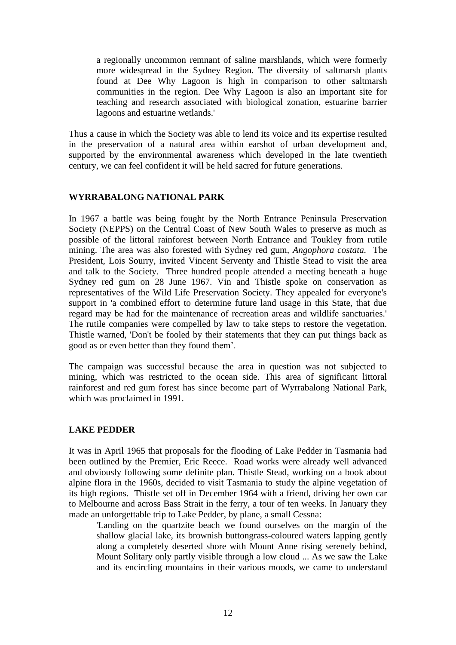a regionally uncommon remnant of saline marshlands, which were formerly more widespread in the Sydney Region. The diversity of saltmarsh plants found at Dee Why Lagoon is high in comparison to other saltmarsh communities in the region. Dee Why Lagoon is also an important site for teaching and research associated with biological zonation, estuarine barrier lagoons and estuarine wetlands.'

Thus a cause in which the Society was able to lend its voice and its expertise resulted in the preservation of a natural area within earshot of urban development and, supported by the environmental awareness which developed in the late twentieth century, we can feel confident it will be held sacred for future generations.

## **WYRRABALONG NATIONAL PARK**

In 1967 a battle was being fought by the North Entrance Peninsula Preservation Society (NEPPS) on the Central Coast of New South Wales to preserve as much as possible of the littoral rainforest between North Entrance and Toukley from rutile mining. The area was also forested with Sydney red gum, *Angophora costata.* The President, Lois Sourry, invited Vincent Serventy and Thistle Stead to visit the area and talk to the Society. Three hundred people attended a meeting beneath a huge Sydney red gum on 28 June 1967. Vin and Thistle spoke on conservation as representatives of the Wild Life Preservation Society. They appealed for everyone's support in 'a combined effort to determine future land usage in this State, that due regard may be had for the maintenance of recreation areas and wildlife sanctuaries.' The rutile companies were compelled by law to take steps to restore the vegetation. Thistle warned, 'Don't be fooled by their statements that they can put things back as good as or even better than they found them'.

The campaign was successful because the area in question was not subjected to mining, which was restricted to the ocean side. This area of significant littoral rainforest and red gum forest has since become part of Wyrrabalong National Park, which was proclaimed in 1991.

## **LAKE PEDDER**

It was in April 1965 that proposals for the flooding of Lake Pedder in Tasmania had been outlined by the Premier, Eric Reece. Road works were already well advanced and obviously following some definite plan. Thistle Stead, working on a book about alpine flora in the 1960s, decided to visit Tasmania to study the alpine vegetation of its high regions. Thistle set off in December 1964 with a friend, driving her own car to Melbourne and across Bass Strait in the ferry, a tour of ten weeks. In January they made an unforgettable trip to Lake Pedder, by plane, a small Cessna:

'Landing on the quartzite beach we found ourselves on the margin of the shallow glacial lake, its brownish buttongrass-coloured waters lapping gently along a completely deserted shore with Mount Anne rising serenely behind, Mount Solitary only partly visible through a low cloud ... As we saw the Lake and its encircling mountains in their various moods, we came to understand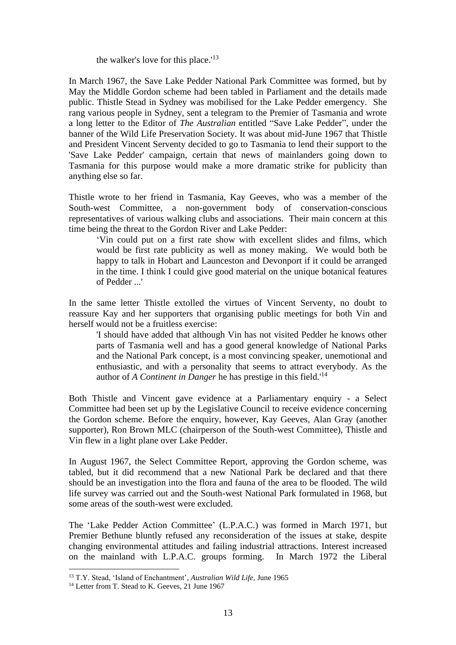the walker's love for this place.'<sup>13</sup>

In March 1967, the Save Lake Pedder National Park Committee was formed, but by May the Middle Gordon scheme had been tabled in Parliament and the details made public. Thistle Stead in Sydney was mobilised for the Lake Pedder emergency. She rang various people in Sydney, sent a telegram to the Premier of Tasmania and wrote a long letter to the Editor of *The Australian* entitled "Save Lake Pedder", under the banner of the Wild Life Preservation Society. It was about mid-June 1967 that Thistle and President Vincent Serventy decided to go to Tasmania to lend their support to the 'Save Lake Pedder' campaign, certain that news of mainlanders going down to Tasmania for this purpose would make a more dramatic strike for publicity than anything else so far.

Thistle wrote to her friend in Tasmania, Kay Geeves, who was a member of the South-west Committee, a non-government body of conservation-conscious representatives of various walking clubs and associations. Their main concern at this time being the threat to the Gordon River and Lake Pedder:

'Vin could put on a first rate show with excellent slides and films, which would be first rate publicity as well as money making. We would both be happy to talk in Hobart and Launceston and Devonport if it could be arranged in the time. I think I could give good material on the unique botanical features of Pedder ...'

In the same letter Thistle extolled the virtues of Vincent Serventy, no doubt to reassure Kay and her supporters that organising public meetings for both Vin and herself would not be a fruitless exercise:

'I should have added that although Vin has not visited Pedder he knows other parts of Tasmania well and has a good general knowledge of National Parks and the National Park concept, is a most convincing speaker, unemotional and enthusiastic, and with a personality that seems to attract everybody. As the author of *A Continent in Danger* he has prestige in this field.'<sup>14</sup>

Both Thistle and Vincent gave evidence at a Parliamentary enquiry - a Select Committee had been set up by the Legislative Council to receive evidence concerning the Gordon scheme. Before the enquiry, however, Kay Geeves, Alan Gray (another supporter), Ron Brown MLC (chairperson of the South-west Committee), Thistle and Vin flew in a light plane over Lake Pedder.

In August 1967, the Select Committee Report, approving the Gordon scheme, was tabled, but it did recommend that a new National Park be declared and that there should be an investigation into the flora and fauna of the area to be flooded. The wild life survey was carried out and the South-west National Park formulated in 1968, but some areas of the south-west were excluded.

The 'Lake Pedder Action Committee' (L.P.A.C.) was formed in March 1971, but Premier Bethune bluntly refused any reconsideration of the issues at stake, despite changing environmental attitudes and failing industrial attractions. Interest increased on the mainland with L.P.A.C. groups forming. In March 1972 the Liberal

<sup>13</sup> T.Y. Stead, 'Island of Enchantment', *Australian Wild Life*, June 1965

<sup>&</sup>lt;sup>14</sup> Letter from T. Stead to K. Geeves, 21 June 1967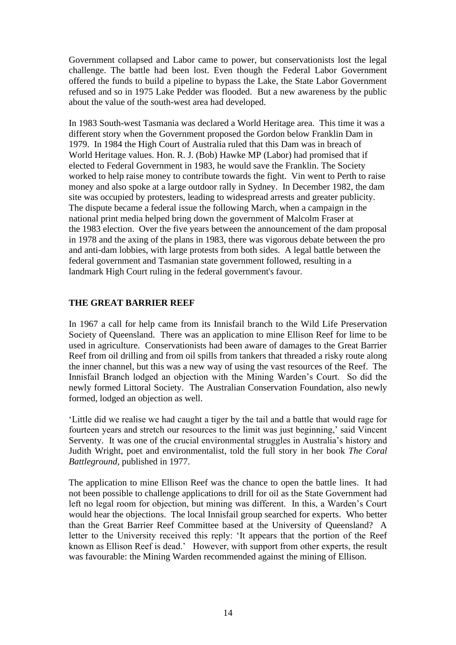Government collapsed and Labor came to power, but conservationists lost the legal challenge. The battle had been lost. Even though the Federal Labor Government offered the funds to build a pipeline to bypass the Lake, the State Labor Government refused and so in 1975 Lake Pedder was flooded. But a new awareness by the public about the value of the south-west area had developed.

In 1983 South-west Tasmania was declared a World Heritage area. This time it was a different story when the Government proposed the Gordon below Franklin Dam in 1979. In 1984 the High Court of Australia ruled that this Dam was in breach of World Heritage values. Hon. R. J. (Bob) Hawke MP (Labor) had promised that if elected to Federal Government in 1983, he would save the Franklin. The Society worked to help raise money to contribute towards the fight. Vin went to Perth to raise money and also spoke at a large outdoor rally in Sydney. In December 1982, the dam site was occupied by protesters, leading to widespread arrests and greater publicity. The dispute became a federal issue the following March, when a campaign in the national print media helped bring down the government of [Malcolm Fraser](http://en.wikipedia.org/wiki/Malcolm_Fraser) at the [1983 election.](http://en.wikipedia.org/wiki/Australian_federal_election,_1983) Over the five years between the announcement of the dam proposal in 1978 and the axing of the plans in 1983, there was vigorous debate between the pro and anti-dam lobbies, with large protests from both sides. A legal battle between the federal government and [Tasmanian](http://en.wikipedia.org/wiki/Tasmania) state government followed, resulting in a landmark [High Court](http://en.wikipedia.org/wiki/High_Court_of_Australia) ruling in the federal government's favour.

## **THE GREAT BARRIER REEF**

In 1967 a call for help came from its Innisfail branch to the Wild Life Preservation Society of Queensland. There was an application to mine Ellison Reef for lime to be used in agriculture. Conservationists had been aware of damages to the Great Barrier Reef from oil drilling and from oil spills from tankers that threaded a risky route along the inner channel, but this was a new way of using the vast resources of the Reef. The Innisfail Branch lodged an objection with the Mining Warden's Court. So did the newly formed Littoral Society. The Australian Conservation Foundation, also newly formed, lodged an objection as well.

'Little did we realise we had caught a tiger by the tail and a battle that would rage for fourteen years and stretch our resources to the limit was just beginning,' said Vincent Serventy. It was one of the crucial environmental struggles in Australia's history and Judith Wright, poet and environmentalist, told the full story in her book *The Coral Battleground,* published in 1977.

The application to mine Ellison Reef was the chance to open the battle lines. It had not been possible to challenge applications to drill for oil as the State Government had left no legal room for objection, but mining was different. In this, a Warden's Court would hear the objections. The local Innisfail group searched for experts. Who better than the Great Barrier Reef Committee based at the University of Queensland? A letter to the University received this reply: 'It appears that the portion of the Reef known as Ellison Reef is dead.' However, with support from other experts, the result was favourable: the Mining Warden recommended against the mining of Ellison.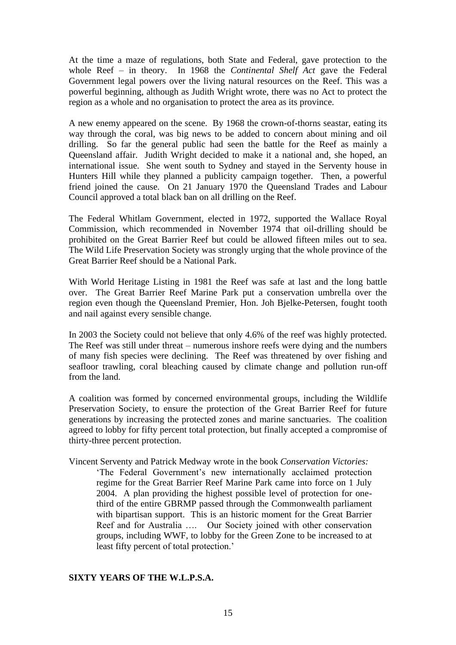At the time a maze of regulations, both State and Federal, gave protection to the whole Reef – in theory. In 1968 the *Continental Shelf Act* gave the Federal Government legal powers over the living natural resources on the Reef. This was a powerful beginning, although as Judith Wright wrote, there was no Act to protect the region as a whole and no organisation to protect the area as its province.

A new enemy appeared on the scene. By 1968 the crown-of-thorns seastar, eating its way through the coral, was big news to be added to concern about mining and oil drilling. So far the general public had seen the battle for the Reef as mainly a Queensland affair. Judith Wright decided to make it a national and, she hoped, an international issue. She went south to Sydney and stayed in the Serventy house in Hunters Hill while they planned a publicity campaign together. Then, a powerful friend joined the cause. On 21 January 1970 the Queensland Trades and Labour Council approved a total black ban on all drilling on the Reef.

The Federal Whitlam Government, elected in 1972, supported the Wallace Royal Commission, which recommended in November 1974 that oil-drilling should be prohibited on the Great Barrier Reef but could be allowed fifteen miles out to sea. The Wild Life Preservation Society was strongly urging that the whole province of the Great Barrier Reef should be a National Park.

With World Heritage Listing in 1981 the Reef was safe at last and the long battle over. The Great Barrier Reef Marine Park put a conservation umbrella over the region even though the Queensland Premier, Hon. Joh Bjelke-Petersen, fought tooth and nail against every sensible change.

In 2003 the Society could not believe that only 4.6% of the reef was highly protected. The Reef was still under threat – numerous inshore reefs were dying and the numbers of many fish species were declining. The Reef was threatened by over fishing and seafloor trawling, coral bleaching caused by climate change and pollution run-off from the land.

A coalition was formed by concerned environmental groups, including the Wildlife Preservation Society, to ensure the protection of the Great Barrier Reef for future generations by increasing the protected zones and marine sanctuaries. The coalition agreed to lobby for fifty percent total protection, but finally accepted a compromise of thirty-three percent protection.

Vincent Serventy and Patrick Medway wrote in the book *Conservation Victories:*

'The Federal Government's new internationally acclaimed protection regime for the Great Barrier Reef Marine Park came into force on 1 July 2004. A plan providing the highest possible level of protection for onethird of the entire GBRMP passed through the Commonwealth parliament with bipartisan support. This is an historic moment for the Great Barrier Reef and for Australia .... Our Society joined with other conservation groups, including WWF, to lobby for the Green Zone to be increased to at least fifty percent of total protection.'

### **SIXTY YEARS OF THE W.L.P.S.A.**